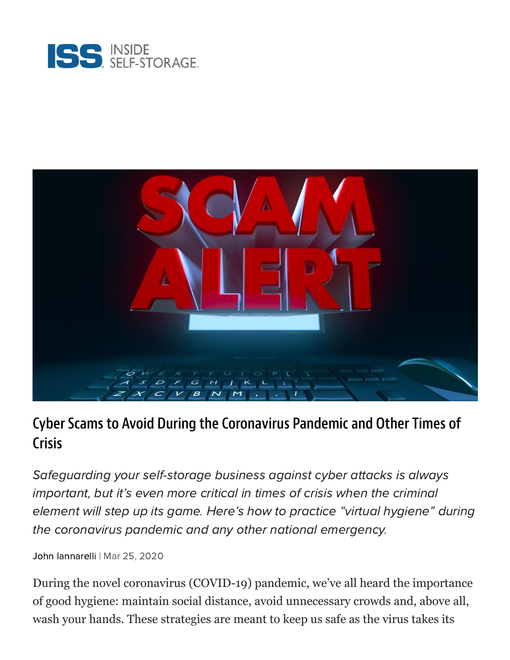



## Cyber Scams to Avoid During the Coronavirus Pandemic and Other Times of **Crisis**

Safeguarding your self-storage business against cyber attacks is always important, but it's even more critical in times of crisis when the criminal element will step up its game. Here's how to practice "virtual hygiene" during the coronavirus pandemic and any other national emergency.

John [Iannarelli](https://www.insideselfstorage.com/author/John-Iannarelli) | Mar 25, 2020

During the novel coronavirus (COVID-19) pandemic, we've all heard the importance of good hygiene: maintain social distance, avoid unnecessary crowds and, above all, wash your hands. These strategies are meant to keep us safe as the virus takes its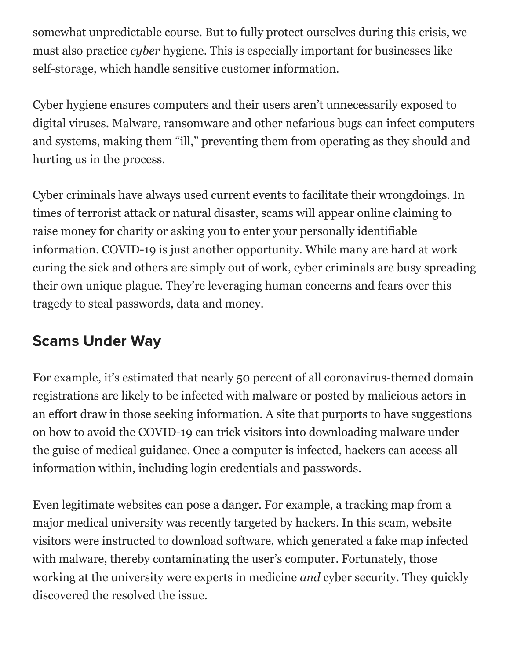somewhat unpredictable course. But to fully protect ourselves during this crisis, we must also practice *cyber* hygiene. This is especially important for businesses like self-storage, which handle sensitive customer information.

Cyber hygiene ensures computers and their users aren't unnecessarily exposed to digital viruses. Malware, ransomware and other nefarious bugs can infect computers and systems, making them "ill," preventing them from operating as they should and hurting us in the process.

Cyber criminals have always used current events to facilitate their wrongdoings. In times of terrorist attack or natural disaster, scams will appear online claiming to raise money for charity or asking you to enter your personally identifiable information. COVID-19 is just another opportunity. While many are hard at work curing the sick and others are simply out of work, cyber criminals are busy spreading their own unique plague. They're leveraging human concerns and fears over this tragedy to steal passwords, data and money.

## Scams Under Way

For example, it's estimated that nearly 50 percent of all coronavirus-themed domain registrations are likely to be infected with malware or posted by malicious actors in an effort draw in those seeking information. A site that purports to have suggestions on how to avoid the COVID-19 can trick visitors into downloading malware under the guise of medical guidance. Once a computer is infected, hackers can access all information within, including login credentials and passwords.

Even legitimate websites can pose a danger. For example, a tracking map from a major medical university was recently targeted by hackers. In this scam, website visitors were instructed to download software, which generated a fake map infected with malware, thereby contaminating the user's computer. Fortunately, those working at the university were experts in medicine *and* cyber security. They quickly discovered the resolved the issue.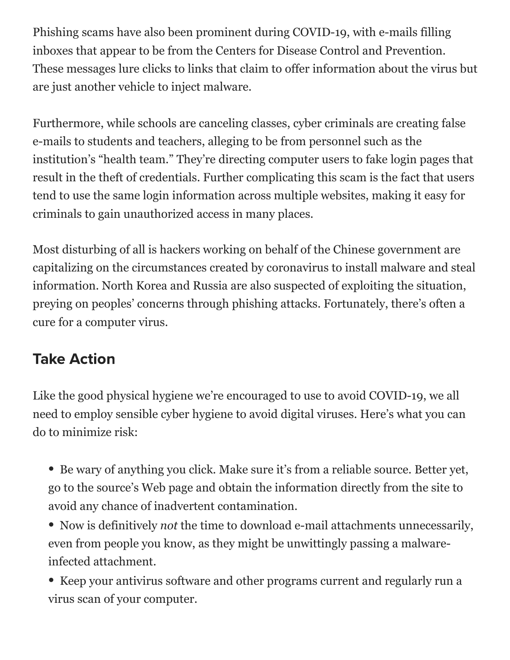Phishing scams have also been prominent during COVID-19, with e-mails filling inboxes that appear to be from the Centers for Disease Control and Prevention. These messages lure clicks to links that claim to offer information about the virus but are just another vehicle to inject malware.

Furthermore, while schools are canceling classes, cyber criminals are creating false e-mails to students and teachers, alleging to be from personnel such as the institution's "health team." They're directing computer users to fake login pages that result in the theft of credentials. Further complicating this scam is the fact that users tend to use the same login information across multiple websites, making it easy for criminals to gain unauthorized access in many places.

Most disturbing of all is hackers working on behalf of the Chinese government are capitalizing on the circumstances created by coronavirus to install malware and steal information. North Korea and Russia are also suspected of exploiting the situation, preying on peoples' concerns through phishing attacks. Fortunately, there's often a cure for a computer virus.

## Take Action

Like the good physical hygiene we're encouraged to use to avoid COVID-19, we all need to employ sensible cyber hygiene to avoid digital viruses. Here's what you can do to minimize risk:

- Be wary of anything you click. Make sure it's from a reliable source. Better yet, go to the source's Web page and obtain the information directly from the site to avoid any chance of inadvertent contamination.
- Now is definitively *not* the time to download e-mail attachments unnecessarily, even from people you know, as they might be unwittingly passing a malwareinfected attachment.
- Keep your antivirus software and other programs current and regularly run a virus scan of your computer.